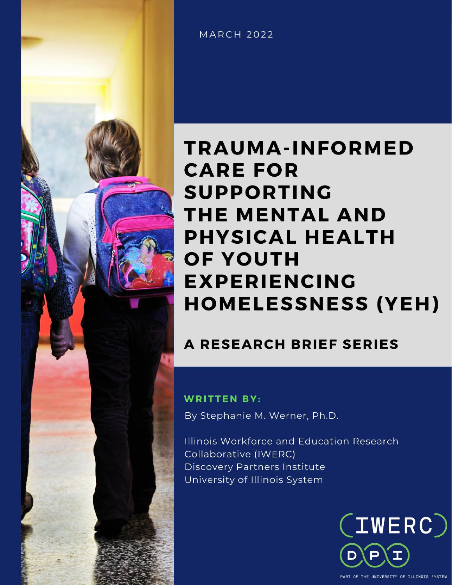

**MARCH 2022** 

# **TRAUMA-INFORMED CARE FOR SUPPORTING** THE MENTAL AND **PHYSICAL HEALTH OF YOUTH EXPERIENCING HOMELESSNESS (YEH)**

**A RESEARCH BRIEF SERIES** 

# **WRITTEN BY:**

By Stephanie M. Werner, Ph.D.

Illinois Workforce and Education Research Collaborative (IWERC) **Discovery Partners Institute** University of Illinois System

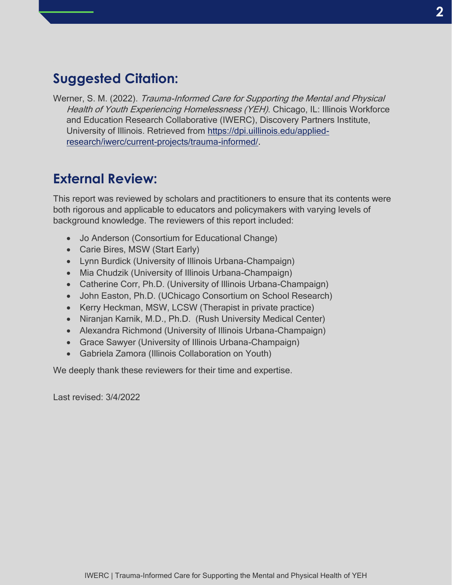# **Suggested Citation:**

Werner, S. M. (2022). Trauma-Informed Care for Supporting the Mental and Physical Health of Youth Experiencing Homelessness (YEH). Chicago, IL: Illinois Workforce and Education Research Collaborative (IWERC), Discovery Partners Institute, University of Illinois. Retrieved from [https://dpi.uillinois.edu/applied](https://dpi.uillinois.edu/applied-research/iwerc/current-projects/trauma-informed/)[research/iwerc/current-projects/trauma-informed/.](https://dpi.uillinois.edu/applied-research/iwerc/current-projects/trauma-informed/)

# **External Review:**

This report was reviewed by scholars and practitioners to ensure that its contents were both rigorous and applicable to educators and policymakers with varying levels of background knowledge. The reviewers of this report included:

- Jo Anderson (Consortium for Educational Change)
- Carie Bires, MSW (Start Early)
- Lynn Burdick (University of Illinois Urbana-Champaign)
- Mia Chudzik (University of Illinois Urbana-Champaign)
- Catherine Corr, Ph.D. (University of Illinois Urbana-Champaign)
- John Easton, Ph.D. (UChicago Consortium on School Research)
- Kerry Heckman, MSW, LCSW (Therapist in private practice)
- Niranjan Karnik, M.D., Ph.D. (Rush University Medical Center)
- Alexandra Richmond (University of Illinois Urbana-Champaign)
- Grace Sawyer (University of Illinois Urbana-Champaign)
- Gabriela Zamora (Illinois Collaboration on Youth)

We deeply thank these reviewers for their time and expertise.

Last revised: 3/4/2022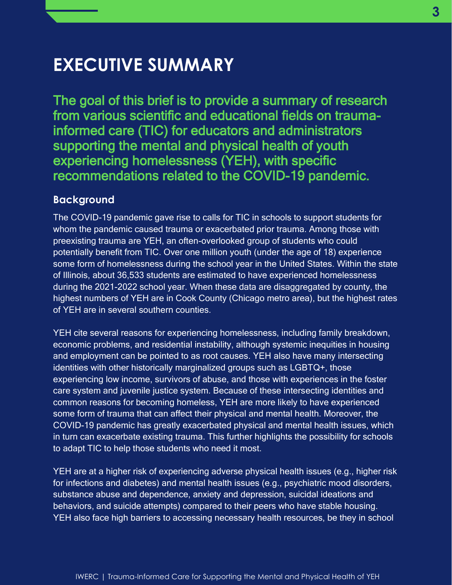# **EXECUTIVE SUMMARY**

The goal of this brief is to provide a summary of research from various scientific and educational fields on traumainformed care (TIC) for educators and administrators supporting the mental and physical health of youth experiencing homelessness (YEH), with specific recommendations related to the COVID-19 pandemic.

#### **Background**

The COVID-19 pandemic gave rise to calls for TIC in schools to support students for whom the pandemic caused trauma or exacerbated prior trauma. Among those with preexisting trauma are YEH, an often-overlooked group of students who could potentially benefit from TIC. Over one million youth (under the age of 18) experience some form of homelessness during the school year in the United States. Within the state of Illinois, about 36,533 students are estimated to have experienced homelessness during the 2021-2022 school year. When these data are disaggregated by county, the highest numbers of YEH are in Cook County (Chicago metro area), but the highest rates of YEH are in several southern counties.

YEH cite several reasons for experiencing homelessness, including family breakdown, economic problems, and residential instability, although systemic inequities in housing and employment can be pointed to as root causes. YEH also have many intersecting identities with other historically marginalized groups such as LGBTQ+, those experiencing low income, survivors of abuse, and those with experiences in the foster care system and juvenile justice system. Because of these intersecting identities and common reasons for becoming homeless, YEH are more likely to have experienced some form of trauma that can affect their physical and mental health. Moreover, the COVID-19 pandemic has greatly exacerbated physical and mental health issues, which in turn can exacerbate existing trauma. This further highlights the possibility for schools to adapt TIC to help those students who need it most.

YEH are at a higher risk of experiencing adverse physical health issues (e.g., higher risk for infections and diabetes) and mental health issues (e.g., psychiatric mood disorders, substance abuse and dependence, anxiety and depression, suicidal ideations and behaviors, and suicide attempts) compared to their peers who have stable housing. YEH also face high barriers to accessing necessary health resources, be they in school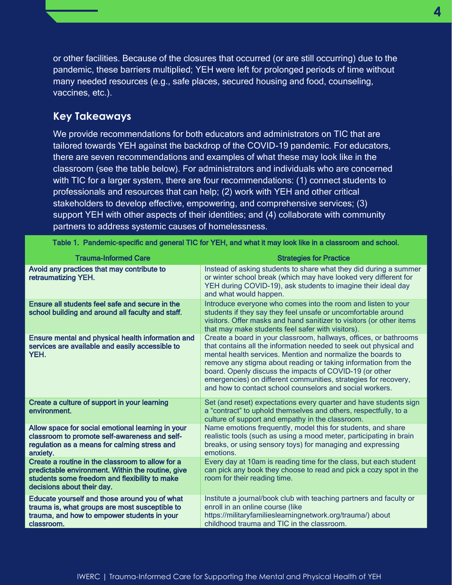or other facilities. Because of the closures that occurred (or are still occurring) due to the pandemic, these barriers multiplied; YEH were left for prolonged periods of time without many needed resources (e.g., safe places, secured housing and food, counseling, vaccines, etc.).

#### **Key Takeaways**

We provide recommendations for both educators and administrators on TIC that are tailored towards YEH against the backdrop of the COVID-19 pandemic. For educators, there are seven recommendations and examples of what these may look like in the classroom (see the table below). For administrators and individuals who are concerned with TIC for a larger system, there are four recommendations: (1) connect students to professionals and resources that can help; (2) work with YEH and other critical stakeholders to develop effective, empowering, and comprehensive services; (3) support YEH with other aspects of their identities; and (4) collaborate with community partners to address systemic causes of homelessness.

| <b>Trauma-Informed Care</b>                                                                                                                                                          | <b>Strategies for Practice</b>                                                                                                                                                                                                                                                                                                                                                                                                                                    |
|--------------------------------------------------------------------------------------------------------------------------------------------------------------------------------------|-------------------------------------------------------------------------------------------------------------------------------------------------------------------------------------------------------------------------------------------------------------------------------------------------------------------------------------------------------------------------------------------------------------------------------------------------------------------|
| Avoid any practices that may contribute to<br>retraumatizing YEH.                                                                                                                    | Instead of asking students to share what they did during a summer<br>or winter school break (which may have looked very different for<br>YEH during COVID-19), ask students to imagine their ideal day<br>and what would happen.                                                                                                                                                                                                                                  |
| Ensure all students feel safe and secure in the<br>school building and around all faculty and staff.                                                                                 | Introduce everyone who comes into the room and listen to your<br>students if they say they feel unsafe or uncomfortable around<br>visitors. Offer masks and hand sanitizer to visitors (or other items<br>that may make students feel safer with visitors).                                                                                                                                                                                                       |
| Ensure mental and physical health information and<br>services are available and easily accessible to<br>YEH.                                                                         | Create a board in your classroom, hallways, offices, or bathrooms<br>that contains all the information needed to seek out physical and<br>mental health services. Mention and normalize the boards to<br>remove any stigma about reading or taking information from the<br>board. Openly discuss the impacts of COVID-19 (or other<br>emergencies) on different communities, strategies for recovery,<br>and how to contact school counselors and social workers. |
| Create a culture of support in your learning<br>environment.                                                                                                                         | Set (and reset) expectations every quarter and have students sign<br>a "contract" to uphold themselves and others, respectfully, to a<br>culture of support and empathy in the classroom.                                                                                                                                                                                                                                                                         |
| Allow space for social emotional learning in your<br>classroom to promote self-awareness and self-<br>regulation as a means for calming stress and<br>anxiety.                       | Name emotions frequently, model this for students, and share<br>realistic tools (such as using a mood meter, participating in brain<br>breaks, or using sensory toys) for managing and expressing<br>emotions.                                                                                                                                                                                                                                                    |
| Create a routine in the classroom to allow for a<br>predictable environment. Within the routine, give<br>students some freedom and flexibility to make<br>decisions about their day. | Every day at 10am is reading time for the class, but each student<br>can pick any book they choose to read and pick a cozy spot in the<br>room for their reading time.                                                                                                                                                                                                                                                                                            |
| Educate yourself and those around you of what<br>trauma is, what groups are most susceptible to<br>trauma, and how to empower students in your<br>classroom.                         | Institute a journal/book club with teaching partners and faculty or<br>enroll in an online course (like<br>https://militaryfamilieslearningnetwork.org/trauma/) about<br>childhood trauma and TIC in the classroom.                                                                                                                                                                                                                                               |

Table 1. Pandemic-specific and general TIC for YEH, and what it may look like in a classroom and school.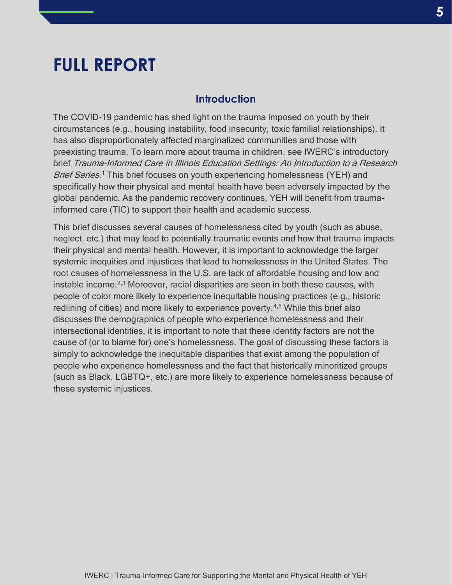# **FULL REPORT**

#### **Introduction**

The COVID-19 pandemic has shed light on the trauma imposed on youth by their circumstances (e.g., housing instability, food insecurity, toxic familial relationships). It has also disproportionately affected marginalized communities and those with preexisting trauma. To learn more about trauma in children, see IWERC's introductory brief Trauma-Informed Care in Illinois Education Settings: An Introduction to a Research Brief Series.<sup>1</sup> This brief focuses on youth experiencing homelessness (YEH) and specifically how their physical and mental health have been adversely impacted by the global pandemic. As the pandemic recovery continues, YEH will benefit from traumainformed care (TIC) to support their health and academic success.

This brief discusses several causes of homelessness cited by youth (such as abuse, neglect, etc.) that may lead to potentially traumatic events and how that trauma impacts their physical and mental health. However, it is important to acknowledge the larger systemic inequities and injustices that lead to homelessness in the United States. The root causes of homelessness in the U.S. are lack of affordable housing and low and instable income.2,3 Moreover, racial disparities are seen in both these causes, with people of color more likely to experience inequitable housing practices (e.g., historic redlining of cities) and more likely to experience poverty.4,5 While this brief also discusses the demographics of people who experience homelessness and their intersectional identities, it is important to note that these identity factors are not the cause of (or to blame for) one's homelessness. The goal of discussing these factors is simply to acknowledge the inequitable disparities that exist among the population of people who experience homelessness and the fact that historically minoritized groups (such as Black, LGBTQ+, etc.) are more likely to experience homelessness because of these systemic injustices.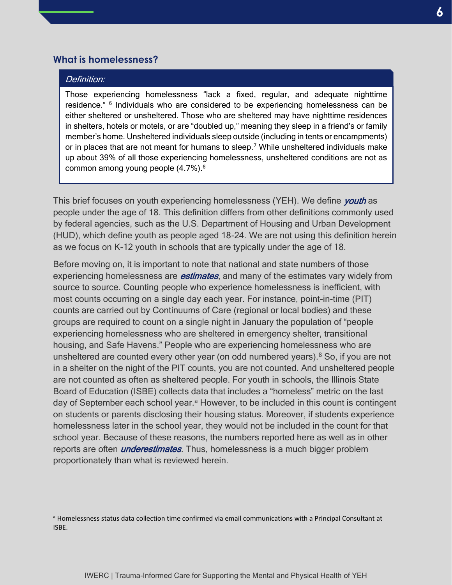#### **What is homelessness?**

#### Definition:

Those experiencing homelessness "lack a fixed, regular, and adequate nighttime residence." <sup>6</sup> Individuals who are considered to be experiencing homelessness can be either sheltered or unsheltered. Those who are sheltered may have nighttime residences in shelters, hotels or motels, or are "doubled up," meaning they sleep in a friend's or family member's home. Unsheltered individuals sleep outside (including in tents or encampments) or in places that are not meant for humans to sleep.<sup>7</sup> While unsheltered individuals make up about 39% of all those experiencing homelessness, unsheltered conditions are not as common among young people (4.7%).<sup>6</sup>

This brief focuses on youth experiencing homelessness (YEH). We define *youth* as people under the age of 18. This definition differs from other definitions commonly used by federal agencies, such as the U.S. Department of Housing and Urban Development (HUD), which define youth as people aged 18-24. We are not using this definition herein as we focus on K-12 youth in schools that are typically under the age of 18.

Before moving on, it is important to note that national and state numbers of those experiencing homelessness are **estimates**, and many of the estimates vary widely from source to source. Counting people who experience homelessness is inefficient, with most counts occurring on a single day each year. For instance, point-in-time (PIT) counts are carried out by Continuums of Care (regional or local bodies) and these groups are required to count on a single night in January the population of "people experiencing homelessness who are sheltered in emergency shelter, transitional housing, and Safe Havens." People who are experiencing homelessness who are unsheltered are counted every other year (on odd numbered years). $8$  So, if you are not in a shelter on the night of the PIT counts, you are not counted. And unsheltered people are not counted as often as sheltered people. For youth in schools, the Illinois State Board of Education (ISBE) collects data that includes a "homeless" metric on the last day of September each school year.<sup>a</sup> However, to be included in this count is contingent on students or parents disclosing their housing status. Moreover, if students experience homelessness later in the school year, they would not be included in the count for that school year. Because of these reasons, the numbers reported here as well as in other reports are often *underestimates*. Thus, homelessness is a much bigger problem proportionately than what is reviewed herein.

<sup>&</sup>lt;sup>a</sup> Homelessness status data collection time confirmed via email communications with a Principal Consultant at ISBE.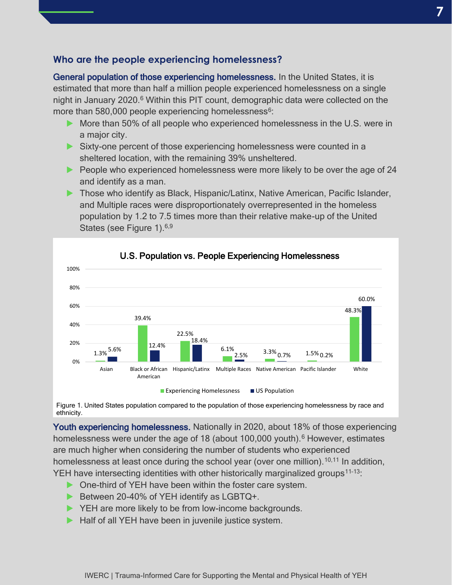#### **Who are the people experiencing homelessness?**

General population of those experiencing homelessness. In the United States, it is estimated that more than half a million people experienced homelessness on a single night in January 2020.<sup>6</sup> Within this PIT count, demographic data were collected on the more than 580,000 people experiencing homelessness<sup>6</sup>:

- ▶ More than 50% of all people who experienced homelessness in the U.S. were in a major city.
- ▶ Sixty-one percent of those experiencing homelessness were counted in a sheltered location, with the remaining 39% unsheltered.
- ▶ People who experienced homelessness were more likely to be over the age of 24 and identify as a man.
- ▶ Those who identify as Black, Hispanic/Latinx, Native American, Pacific Islander, and Multiple races were disproportionately overrepresented in the homeless population by 1.2 to 7.5 times more than their relative make-up of the United States (see Figure 1).<sup>6,9</sup>



 Figure 1. United States population compared to the population of those experiencing homelessness by race and í ethnicity.

Youth experiencing homelessness. Nationally in 2020, about 18% of those experiencing homelessness were under the age of 18 (about 100,000 youth).<sup>6</sup> However, estimates are much higher when considering the number of students who experienced homelessness at least once during the school year (over one million).<sup>10,11</sup> In addition, YEH have intersecting identities with other historically marginalized groups<sup>11-13</sup>:

- ▶ One-third of YEH have been within the foster care system.
- ▶ Between 20-40% of YEH identify as LGBTQ+.
- ▶ YEH are more likely to be from low-income backgrounds.
- ▶ Half of all YEH have been in juvenile justice system.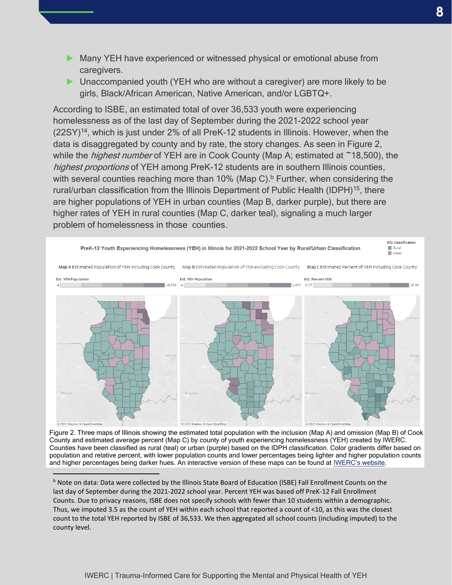- ▶ Many YEH have experienced or witnessed physical or emotional abuse from caregivers.
- ▶ Unaccompanied youth (YEH who are without a caregiver) are more likely to be girls, Black/African American, Native American, and/or LGBTQ+.

According to ISBE, an estimated total of over 36,533 youth were experiencing homelessness as of the last day of September during the 2021-2022 school year (22SY)<sup>14</sup>, which is just under 2% of all PreK-12 students in Illinois. However, when the data is disaggregated by county and by rate, the story changes. As seen in Figure 2, while the *highest number* of YEH are in Cook County (Map A; estimated at  $\sim$ 18,500), the highest proportions of YEH among PreK-12 students are in southern Illinois counties, with several counties reaching more than 10% (Map C).<sup>b</sup> Further, when considering the rural/urban classification from the Illinois Department of Public Health (IDPH)<sup>15</sup>, there are higher populations of YEH in urban counties (Map B, darker purple), but there are higher rates of YEH in rural counties (Map C, darker teal), signaling a much larger problem of homelessness in those counties.



Figure 2. Three maps of Illinois showing the estimated total population with the inclusion (Map A) and omission (Map B) of Cook County and estimated average percent (Map C) by county of youth experiencing homelessness (YEH) created by IWERC. Counties have been classified as rural (teal) or urban (purple) based on the IDPH classification. Color gradients differ based on population and relative percent, with lower population counts and lower percentages being lighter and higher population counts and higher percentages being darker hues. An interactive version of these maps can be found at *[IWERC's website](https://dpi.uillinois.edu/applied-research/iwerc/current-projects/trauma-informed/trauma-informed-yeh/)*.

<sup>b</sup> Note on data: Data were collected by the Illinois State Board of Education (ISBE) Fall Enrollment Counts on the last day of September during the 2021-2022 school year. Percent YEH was based off PreK-12 Fall Enrollment Counts. Due to privacy reasons, ISBE does not specify schools with fewer than 10 students within a demographic. Thus, we imputed 3.5 as the count of YEH within each school that reported a count of <10, as this was the closest count to the total YEH reported by ISBE of 36,533. We then aggregated all school counts (including imputed) to the county level.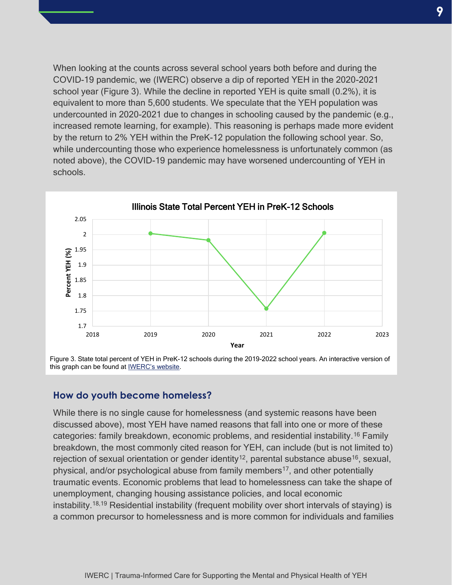When looking at the counts across several school years both before and during the COVID-19 pandemic, we (IWERC) observe a dip of reported YEH in the 2020-2021 school year (Figure 3). While the decline in reported YEH is quite small (0.2%), it is equivalent to more than 5,600 students. We speculate that the YEH population was undercounted in 2020-2021 due to changes in schooling caused by the pandemic (e.g., increased remote learning, for example). This reasoning is perhaps made more evident by the return to 2% YEH within the PreK-12 population the following school year. So, while undercounting those who experience homelessness is unfortunately common (as noted above), the COVID-19 pandemic may have worsened undercounting of YEH in schools.



Figure 3. State total percent of YEH in PreK-12 schools during the 2019-2022 school years. An interactive version of this graph can be found at [IWERC's website](https://dpi.uillinois.edu/applied-research/iwerc/current-projects/trauma-informed/trauma-informed-yeh/).

#### **How do youth become homeless?**

While there is no single cause for homelessness (and systemic reasons have been discussed above), most YEH have named reasons that fall into one or more of these categories: family breakdown, economic problems, and residential instability.<sup>16</sup> Family breakdown, the most commonly cited reason for YEH, can include (but is not limited to) rejection of sexual orientation or gender identity<sup>12</sup>, parental substance abuse<sup>16</sup>, sexual, physical, and/or psychological abuse from family members<sup>17</sup>, and other potentially traumatic events. Economic problems that lead to homelessness can take the shape of unemployment, changing housing assistance policies, and local economic instability.<sup>18,19</sup> Residential instability (frequent mobility over short intervals of staying) is a common precursor to homelessness and is more common for individuals and families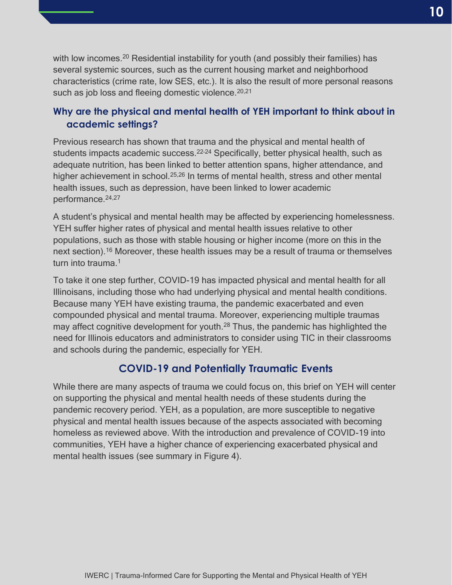with low incomes.<sup>20</sup> Residential instability for youth (and possibly their families) has several systemic sources, such as the current housing market and neighborhood characteristics (crime rate, low SES, etc.). It is also the result of more personal reasons such as job loss and fleeing domestic violence.<sup>20,21</sup>

### **Why are the physical and mental health of YEH important to think about in academic settings?**

Previous research has shown that trauma and the physical and mental health of students impacts academic success.<sup>22-24</sup> Specifically, better physical health, such as adequate nutrition, has been linked to better attention spans, higher attendance, and higher achievement in school.<sup>25,26</sup> In terms of mental health, stress and other mental health issues, such as depression, have been linked to lower academic performance.<sup>24,27</sup>

A student's physical and mental health may be affected by experiencing homelessness. YEH suffer higher rates of physical and mental health issues relative to other populations, such as those with stable housing or higher income (more on this in the next section).<sup>16</sup> Moreover, these health issues may be a result of trauma or themselves turn into trauma.<sup>1</sup>

To take it one step further, COVID-19 has impacted physical and mental health for all Illinoisans, including those who had underlying physical and mental health conditions. Because many YEH have existing trauma, the pandemic exacerbated and even compounded physical and mental trauma. Moreover, experiencing multiple traumas may affect cognitive development for youth.<sup>28</sup> Thus, the pandemic has highlighted the need for Illinois educators and administrators to consider using TIC in their classrooms and schools during the pandemic, especially for YEH.

# **COVID-19 and Potentially Traumatic Events**

While there are many aspects of trauma we could focus on, this brief on YEH will center on supporting the physical and mental health needs of these students during the pandemic recovery period. YEH, as a population, are more susceptible to negative physical and mental health issues because of the aspects associated with becoming homeless as reviewed above. With the introduction and prevalence of COVID-19 into communities, YEH have a higher chance of experiencing exacerbated physical and mental health issues (see summary in Figure 4).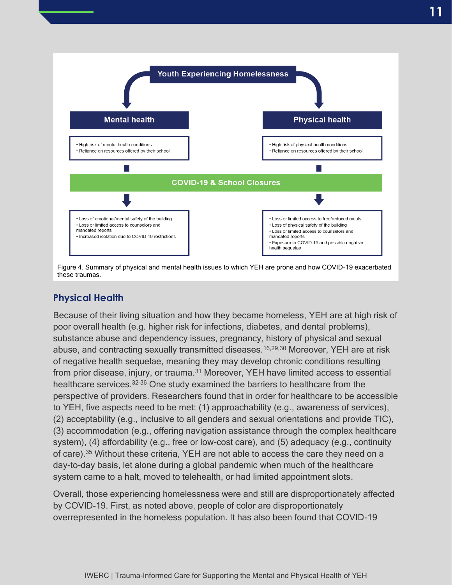![](_page_10_Figure_1.jpeg)

Figure 4. Summary of physical and mental health issues to which YEH are prone and how COVID-19 exacerbated these traumas.

## **Physical Health**

Because of their living situation and how they became homeless, YEH are at high risk of poor overall health (e.g. higher risk for infections, diabetes, and dental problems), substance abuse and dependency issues, pregnancy, history of physical and sexual abuse, and contracting sexually transmitted diseases.16,29,30 Moreover, YEH are at risk of negative health sequelae, meaning they may develop chronic conditions resulting from prior disease, injury, or trauma.<sup>31</sup> Moreover, YEH have limited access to essential healthcare services.<sup>32</sup>–<sup>36</sup> One study examined the barriers to healthcare from the perspective of providers. Researchers found that in order for healthcare to be accessible to YEH, five aspects need to be met: (1) approachability (e.g., awareness of services), (2) acceptability (e.g., inclusive to all genders and sexual orientations and provide TIC), (3) accommodation (e.g., offering navigation assistance through the complex healthcare system), (4) affordability (e.g., free or low-cost care), and (5) adequacy (e.g., continuity of care).<sup>35</sup> Without these criteria, YEH are not able to access the care they need on a day-to-day basis, let alone during a global pandemic when much of the healthcare system came to a halt, moved to telehealth, or had limited appointment slots.

Overall, those experiencing homelessness were and still are disproportionately affected by COVID-19. First, as noted above, people of color are disproportionately overrepresented in the homeless population. It has also been found that COVID-19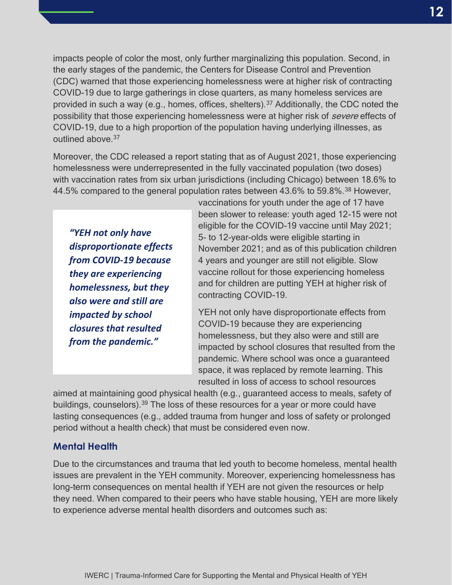impacts people of color the most, only further marginalizing this population. Second, in the early stages of the pandemic, the Centers for Disease Control and Prevention (CDC) warned that those experiencing homelessness were at higher risk of contracting COVID-19 due to large gatherings in close quarters, as many homeless services are provided in such a way (e.g., homes, offices, shelters).<sup>37</sup> Additionally, the CDC noted the possibility that those experiencing homelessness were at higher risk of *severe* effects of COVID-19, due to a high proportion of the population having underlying illnesses, as outlined above.<sup>37</sup>

Moreover, the CDC released a report stating that as of August 2021, those experiencing homelessness were underrepresented in the fully vaccinated population (two doses) with vaccination rates from six urban jurisdictions (including Chicago) between 18.6% to 44.5% compared to the general population rates between 43.6% to 59.8%.<sup>38</sup> However,

*"YEH not only have disproportionate effects from COVID-19 because they are experiencing homelessness, but they also were and still are impacted by school closures that resulted from the pandemic."*

vaccinations for youth under the age of 17 have been slower to release: youth aged 12-15 were not eligible for the COVID-19 vaccine until May 2021; 5- to 12-year-olds were eligible starting in November 2021; and as of this publication children 4 years and younger are still not eligible. Slow vaccine rollout for those experiencing homeless and for children are putting YEH at higher risk of contracting COVID-19.

YEH not only have disproportionate effects from COVID-19 because they are experiencing homelessness, but they also were and still are impacted by school closures that resulted from the pandemic. Where school was once a guaranteed space, it was replaced by remote learning. This resulted in loss of access to school resources

aimed at maintaining good physical health (e.g., guaranteed access to meals, safety of buildings, counselors).<sup>39</sup> The loss of these resources for a year or more could have lasting consequences (e.g., added trauma from hunger and loss of safety or prolonged period without a health check) that must be considered even now.

#### **Mental Health**

Due to the circumstances and trauma that led youth to become homeless, mental health issues are prevalent in the YEH community. Moreover, experiencing homelessness has long-term consequences on mental health if YEH are not given the resources or help they need. When compared to their peers who have stable housing, YEH are more likely to experience adverse mental health disorders and outcomes such as: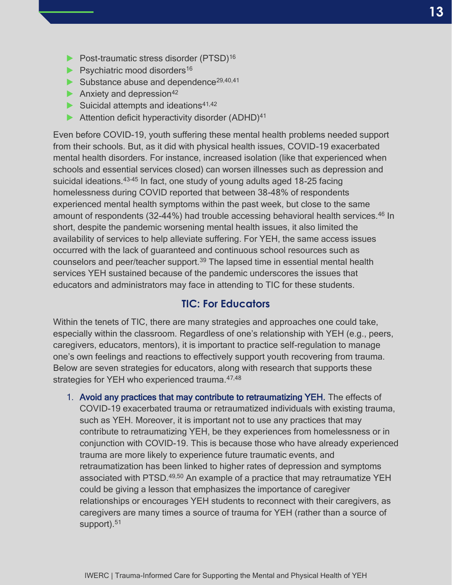- ▶ Post-traumatic stress disorder (PTSD)<sup>16</sup>
- $\blacktriangleright$  Psychiatric mood disorders<sup>16</sup>
- $\blacktriangleright$  Substance abuse and dependence<sup>29,40,41</sup>
- Anxiety and depression $42$
- $\blacktriangleright$  Suicidal attempts and ideations<sup>41,42</sup>
- ▶ Attention deficit hyperactivity disorder (ADHD)<sup>41</sup>

Even before COVID-19, youth suffering these mental health problems needed support from their schools. But, as it did with physical health issues, COVID-19 exacerbated mental health disorders. For instance, increased isolation (like that experienced when schools and essential services closed) can worsen illnesses such as depression and suicidal ideations.<sup>43-45</sup> In fact, one study of young adults aged 18-25 facing homelessness during COVID reported that between 38-48% of respondents experienced mental health symptoms within the past week, but close to the same amount of respondents (32-44%) had trouble accessing behavioral health services.<sup>46</sup> In short, despite the pandemic worsening mental health issues, it also limited the availability of services to help alleviate suffering. For YEH, the same access issues occurred with the lack of guaranteed and continuous school resources such as counselors and peer/teacher support.<sup>39</sup> The lapsed time in essential mental health services YEH sustained because of the pandemic underscores the issues that educators and administrators may face in attending to TIC for these students.

### **TIC: For Educators**

Within the tenets of TIC, there are many strategies and approaches one could take, especially within the classroom. Regardless of one's relationship with YEH (e.g., peers, caregivers, educators, mentors), it is important to practice self-regulation to manage one's own feelings and reactions to effectively support youth recovering from trauma. Below are seven strategies for educators, along with research that supports these strategies for YEH who experienced trauma. 47,48

1. Avoid any practices that may contribute to retraumatizing YEH. The effects of COVID-19 exacerbated trauma or retraumatized individuals with existing trauma, such as YEH. Moreover, it is important not to use any practices that may contribute to retraumatizing YEH, be they experiences from homelessness or in conjunction with COVID-19. This is because those who have already experienced trauma are more likely to experience future traumatic events, and retraumatization has been linked to higher rates of depression and symptoms associated with PTSD.<sup>49,50</sup> An example of a practice that may retraumatize YEH could be giving a lesson that emphasizes the importance of caregiver relationships or encourages YEH students to reconnect with their caregivers, as caregivers are many times a source of trauma for YEH (rather than a source of support).<sup>51</sup>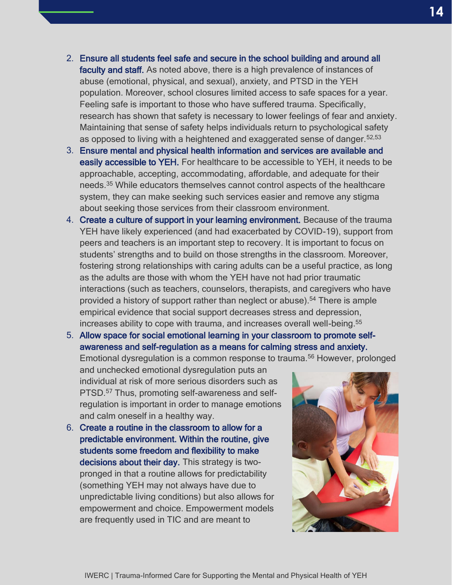IWERC | Trauma-Informed Care for Supporting the Mental and Physical Health of YEH

- **14**
- 2. Ensure all students feel safe and secure in the school building and around all faculty and staff. As noted above, there is a high prevalence of instances of abuse (emotional, physical, and sexual), anxiety, and PTSD in the YEH population. Moreover, school closures limited access to safe spaces for a year. Feeling safe is important to those who have suffered trauma. Specifically, research has shown that safety is necessary to lower feelings of fear and anxiety. Maintaining that sense of safety helps individuals return to psychological safety as opposed to living with a heightened and exaggerated sense of danger.  $52,53$
- 3. Ensure mental and physical health information and services are available and easily accessible to YEH. For healthcare to be accessible to YEH, it needs to be approachable, accepting, accommodating, affordable, and adequate for their needs. <sup>35</sup> While educators themselves cannot control aspects of the healthcare system, they can make seeking such services easier and remove any stigma about seeking those services from their classroom environment.
- 4. Create a culture of support in your learning environment. Because of the trauma YEH have likely experienced (and had exacerbated by COVID-19), support from peers and teachers is an important step to recovery. It is important to focus on students' strengths and to build on those strengths in the classroom. Moreover, fostering strong relationships with caring adults can be a useful practice, as long as the adults are those with whom the YEH have not had prior traumatic interactions (such as teachers, counselors, therapists, and caregivers who have provided a history of support rather than neglect or abuse).<sup>54</sup> There is ample empirical evidence that social support decreases stress and depression, increases ability to cope with trauma, and increases overall well-being.<sup>55</sup>
- 5. Allow space for social emotional learning in your classroom to promote selfawareness and self-regulation as a means for calming stress and anxiety.

Emotional dysregulation is a common response to trauma.<sup>56</sup> However, prolonged

and unchecked emotional dysregulation puts an individual at risk of more serious disorders such as PTSD.<sup>57</sup> Thus, promoting self-awareness and selfregulation is important in order to manage emotions and calm oneself in a healthy way.

6. Create a routine in the classroom to allow for a predictable environment. Within the routine, give students some freedom and flexibility to make decisions about their day. This strategy is twopronged in that a routine allows for predictability (something YEH may not always have due to unpredictable living conditions) but also allows for empowerment and choice. Empowerment models are frequently used in TIC and are meant to

![](_page_13_Picture_9.jpeg)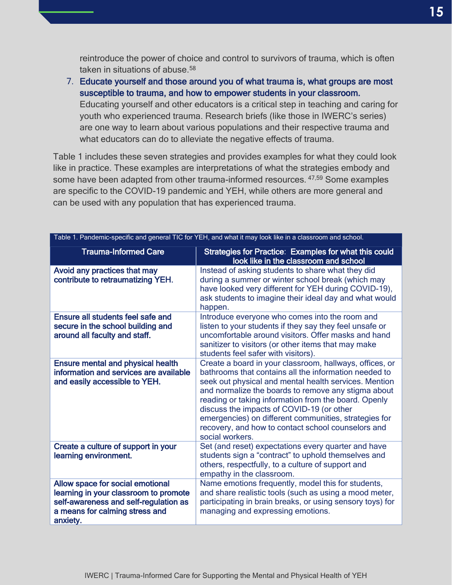reintroduce the power of choice and control to survivors of trauma, which is often taken in situations of abuse.<sup>58</sup>

7. Educate yourself and those around you of what trauma is, what groups are most susceptible to trauma, and how to empower students in your classroom. Educating yourself and other educators is a critical step in teaching and caring for youth who experienced trauma. Research briefs (like those in IWERC's series) are one way to learn about various populations and their respective trauma and what educators can do to alleviate the negative effects of trauma.

Table 1 includes these seven strategies and provides examples for what they could look like in practice. These examples are interpretations of what the strategies embody and some have been adapted from other trauma-informed resources. 47,59 Some examples are specific to the COVID-19 pandemic and YEH, while others are more general and can be used with any population that has experienced trauma.

| Table 1. Pandemic-specific and general TIC for YEH, and what it may look like in a classroom and school.                                                         |                                                                                                                                                                                                                                                                                                                                                                                                                                                                         |  |
|------------------------------------------------------------------------------------------------------------------------------------------------------------------|-------------------------------------------------------------------------------------------------------------------------------------------------------------------------------------------------------------------------------------------------------------------------------------------------------------------------------------------------------------------------------------------------------------------------------------------------------------------------|--|
| <b>Trauma-Informed Care</b>                                                                                                                                      | Strategies for Practice: Examples for what this could<br>look like in the classroom and school                                                                                                                                                                                                                                                                                                                                                                          |  |
| Avoid any practices that may<br>contribute to retraumatizing YEH.                                                                                                | Instead of asking students to share what they did<br>during a summer or winter school break (which may<br>have looked very different for YEH during COVID-19),<br>ask students to imagine their ideal day and what would<br>happen.                                                                                                                                                                                                                                     |  |
| <b>Ensure all students feel safe and</b><br>secure in the school building and<br>around all faculty and staff.                                                   | Introduce everyone who comes into the room and<br>listen to your students if they say they feel unsafe or<br>uncomfortable around visitors. Offer masks and hand<br>sanitizer to visitors (or other items that may make<br>students feel safer with visitors).                                                                                                                                                                                                          |  |
| <b>Ensure mental and physical health</b><br>information and services are available<br>and easily accessible to YEH.                                              | Create a board in your classroom, hallways, offices, or<br>bathrooms that contains all the information needed to<br>seek out physical and mental health services. Mention<br>and normalize the boards to remove any stigma about<br>reading or taking information from the board. Openly<br>discuss the impacts of COVID-19 (or other<br>emergencies) on different communities, strategies for<br>recovery, and how to contact school counselors and<br>social workers. |  |
| Create a culture of support in your<br>learning environment.                                                                                                     | Set (and reset) expectations every quarter and have<br>students sign a "contract" to uphold themselves and<br>others, respectfully, to a culture of support and<br>empathy in the classroom.                                                                                                                                                                                                                                                                            |  |
| Allow space for social emotional<br>learning in your classroom to promote<br>self-awareness and self-regulation as<br>a means for calming stress and<br>anxiety. | Name emotions frequently, model this for students,<br>and share realistic tools (such as using a mood meter,<br>participating in brain breaks, or using sensory toys) for<br>managing and expressing emotions.                                                                                                                                                                                                                                                          |  |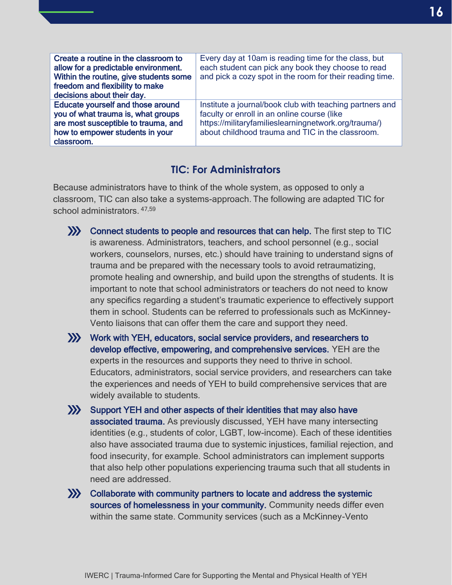| Create a routine in the classroom to<br>allow for a predictable environment.<br>Within the routine, give students some<br>freedom and flexibility to make<br>decisions about their day. | Every day at 10am is reading time for the class, but<br>each student can pick any book they choose to read<br>and pick a cozy spot in the room for their reading time.                                              |
|-----------------------------------------------------------------------------------------------------------------------------------------------------------------------------------------|---------------------------------------------------------------------------------------------------------------------------------------------------------------------------------------------------------------------|
| <b>Educate yourself and those around</b><br>you of what trauma is, what groups<br>are most susceptible to trauma, and<br>how to empower students in your<br>classroom.                  | Institute a journal/book club with teaching partners and<br>faculty or enroll in an online course (like<br>https://militaryfamilieslearningnetwork.org/trauma/)<br>about childhood trauma and TIC in the classroom. |

## **TIC: For Administrators**

Because administrators have to think of the whole system, as opposed to only a classroom, TIC can also take a systems-approach. The following are adapted TIC for school administrators. 47,59

![](_page_15_Picture_3.jpeg)

- Connect students to people and resources that can help. The first step to TIC is awareness. Administrators, teachers, and school personnel (e.g., social workers, counselors, nurses, etc.) should have training to understand signs of trauma and be prepared with the necessary tools to avoid retraumatizing, promote healing and ownership, and build upon the strengths of students. It is important to note that school administrators or teachers do not need to know any specifics regarding a student's traumatic experience to effectively support them in school. Students can be referred to professionals such as McKinney-Vento liaisons that can offer them the care and support they need.
- Work with YEH, educators, social service providers, and researchers to develop effective, empowering, and comprehensive services. YEH are the experts in the resources and supports they need to thrive in school. Educators, administrators, social service providers, and researchers can take the experiences and needs of YEH to build comprehensive services that are widely available to students.
- Support YEH and other aspects of their identities that may also have associated trauma. As previously discussed, YEH have many intersecting identities (e.g., students of color, LGBT, low-income). Each of these identities also have associated trauma due to systemic injustices, familial rejection, and food insecurity, for example. School administrators can implement supports that also help other populations experiencing trauma such that all students in need are addressed.
- Collaborate with community partners to locate and address the systemic sources of homelessness in your community. Community needs differ even within the same state. Community services (such as a McKinney-Vento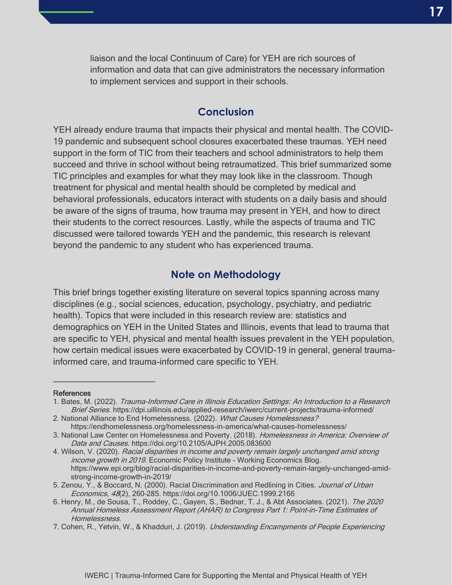liaison and the local Continuum of Care) for YEH are rich sources of information and data that can give administrators the necessary information to implement services and support in their schools.

#### **Conclusion**

YEH already endure trauma that impacts their physical and mental health. The COVID-19 pandemic and subsequent school closures exacerbated these traumas. YEH need support in the form of TIC from their teachers and school administrators to help them succeed and thrive in school without being retraumatized. This brief summarized some TIC principles and examples for what they may look like in the classroom. Though treatment for physical and mental health should be completed by medical and behavioral professionals, educators interact with students on a daily basis and should be aware of the signs of trauma, how trauma may present in YEH, and how to direct their students to the correct resources. Lastly, while the aspects of trauma and TIC discussed were tailored towards YEH and the pandemic, this research is relevant beyond the pandemic to any student who has experienced trauma.

### **Note on Methodology**

This brief brings together existing literature on several topics spanning across many disciplines (e.g., social sciences, education, psychology, psychiatry, and pediatric health). Topics that were included in this research review are: statistics and demographics on YEH in the United States and Illinois, events that lead to trauma that are specific to YEH, physical and mental health issues prevalent in the YEH population, how certain medical issues were exacerbated by COVID-19 in general, general traumainformed care, and trauma-informed care specific to YEH.

#### **References**

 $\overline{\phantom{a}}$  , and the set of the set of the set of the set of the set of the set of the set of the set of the set of the set of the set of the set of the set of the set of the set of the set of the set of the set of the s

<sup>1.</sup> Bates, M. (2022). Trauma-Informed Care in Illinois Education Settings: An Introduction to a Research Brief Series. https://dpi.uillinois.edu/applied-research/iwerc/current-projects/trauma-informed/

<sup>2.</sup> National Alliance to End Homelessness. (2022). What Causes Homelessness? https://endhomelessness.org/homelessness-in-america/what-causes-homelessness/

<sup>3.</sup> National Law Center on Homelessness and Poverty. (2018). Homelessness in America: Overview of Data and Causes. https://doi.org/10.2105/AJPH.2005.083600

<sup>4.</sup> Wilson, V. (2020). Racial disparities in income and poverty remain largely unchanged amid strong income growth in 2019. Economic Policy Institute - Working Economics Blog. https://www.epi.org/blog/racial-disparities-in-income-and-poverty-remain-largely-unchanged-amidstrong-income-growth-in-2019/

<sup>5.</sup> Zenou, Y., & Boccard, N. (2000). Racial Discrimination and Redlining in Cities. Journal of Urban Economics, 48(2), 260–285. https://doi.org/10.1006/JUEC.1999.2166

<sup>6.</sup> Henry, M., de Sousa, T., Roddey, C., Gayen, S., Bednar, T. J., & Abt Associates. (2021). The 2020 Annual Homeless Assessment Report (AHAR) to Congress Part 1: Point-in-Time Estimates of Homelessness.

<sup>7.</sup> Cohen, R., Yetvin, W., & Khadduri, J. (2019). Understanding Encampments of People Experiencing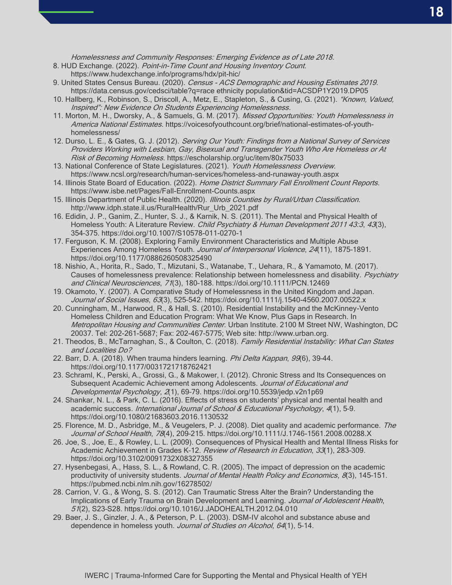Homelessness and Community Responses: Emerging Evidence as of Late 2018.

- 8. HUD Exchange. (2022). Point-in-Time Count and Housing Inventory Count.
	- https://www.hudexchange.info/programs/hdx/pit-hic/
- 9. United States Census Bureau. (2020). Census ACS Demographic and Housing Estimates 2019. https://data.census.gov/cedsci/table?q=race ethnicity population&tid=ACSDP1Y2019.DP05
- 10. Hallberg, K., Robinson, S., Driscoll, A., Metz, E., Stapleton, S., & Cusing, G. (2021). "Known, Valued, Inspired": New Evidence On Students Experiencing Homelessness.
- 11. Morton, M. H., Dworsky, A., & Samuels, G. M. (2017). Missed Opportunities: Youth Homelessness in America National Estimates. https://voicesofyouthcount.org/brief/national-estimates-of-youthhomelessness/
- 12. Durso, L. E., & Gates, G. J. (2012). Serving Our Youth: Findings from a National Survey of Services Providers Working with Lesbian, Gay, Bisexual and Transgender Youth Who Are Homeless or At Risk of Becoming Homeless. https://escholarship.org/uc/item/80x75033
- 13. National Conference of State Legislatures. (2021). Youth Homelessness Overview. https://www.ncsl.org/research/human-services/homeless-and-runaway-youth.aspx
- 14. Illinois State Board of Education. (2022). Home District Summary Fall Enrollment Count Reports. https://www.isbe.net/Pages/Fall-Enrollment-Counts.aspx
- 15. Illinois Department of Public Health. (2020). Illinois Counties by Rural/Urban Classification. http://www.idph.state.il.us/RuralHealth/Rur\_Urb\_2021.pdf
- 16. Edidin, J. P., Ganim, Z., Hunter, S. J., & Karnik, N. S. (2011). The Mental and Physical Health of Homeless Youth: A Literature Review. Child Psychiatry & Human Development 2011 43:3, 43(3), 354–375. https://doi.org/10.1007/S10578-011-0270-1
- 17. Ferguson, K. M. (2008). Exploring Family Environment Characteristics and Multiple Abuse Experiences Among Homeless Youth. Journal of Interpersonal Violence, 24(11), 1875-1891. https://doi.org/10.1177/0886260508325490
- 18. Nishio, A., Horita, R., Sado, T., Mizutani, S., Watanabe, T., Uehara, R., & Yamamoto, M. (2017). Causes of homelessness prevalence: Relationship between homelessness and disability. Psychiatry and Clinical Neurosciences, 71(3), 180–188. https://doi.org/10.1111/PCN.12469
- 19. Okamoto, Y. (2007). A Comparative Study of Homelessness in the United Kingdom and Japan. Journal of Social Issues, 63(3), 525-542. https://doi.org/10.1111/j.1540-4560.2007.00522.x
- 20. Cunningham, M., Harwood, R., & Hall, S. (2010). Residential Instability and the McKinney-Vento Homeless Children and Education Program: What We Know, Plus Gaps in Research. In Metropolitan Housing and Communities Center. Urban Institute. 2100 M Street NW, Washington, DC 20037. Tel: 202-261-5687; Fax: 202-467-5775; Web site: http://www.urban.org.
- 21. Theodos, B., McTarnaghan, S., & Coulton, C. (2018). Family Residential Instability: What Can States and Localities Do?
- 22. Barr, D. A. (2018). When trauma hinders learning. Phi Delta Kappan, 99(6), 39-44. https://doi.org/10.1177/0031721718762421
- 23. Schraml, K., Perski, A., Grossi, G., & Makower, I. (2012). Chronic Stress and Its Consequences on Subsequent Academic Achievement among Adolescents. Journal of Educational and Developmental Psychology, 2(1), 69–79. https://doi.org/10.5539/jedp.v2n1p69
- 24. Shankar, N. L., & Park, C. L. (2016). Effects of stress on students' physical and mental health and academic success. International Journal of School & Educational Psychology, 4(1), 5-9. https://doi.org/10.1080/21683603.2016.1130532
- 25. Florence, M. D., Asbridge, M., & Veugelers, P. J. (2008). Diet quality and academic performance. The Journal of School Health, 78(4), 209–215. https://doi.org/10.1111/J.1746-1561.2008.00288.X
- 26. Joe, S., Joe, E., & Rowley, L. L. (2009). Consequences of Physical Health and Mental Illness Risks for Academic Achievement in Grades K-12. Review of Research in Education, 33(1), 283-309. https://doi.org/10.3102/0091732X08327355
- 27. Hysenbegasi, A., Hass, S. L., & Rowland, C. R. (2005). The impact of depression on the academic productivity of university students. Journal of Mental Health Policy and Economics, 8(3), 145-151. https://pubmed.ncbi.nlm.nih.gov/16278502/
- 28. Carrion, V. G., & Wong, S. S. (2012). Can Traumatic Stress Alter the Brain? Understanding the Implications of Early Trauma on Brain Development and Learning. Journal of Adolescent Health, 51(2), S23–S28. https://doi.org/10.1016/J.JADOHEALTH.2012.04.010
- 29. Baer, J. S., Ginzler, J. A., & Peterson, P. L. (2003). DSM-IV alcohol and substance abuse and dependence in homeless youth. Journal of Studies on Alcohol, 64(1), 5-14.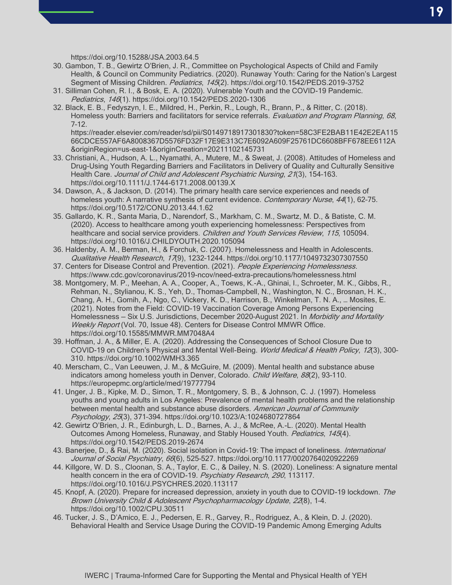https://doi.org/10.15288/JSA.2003.64.5

- 30. Gambon, T. B., Gewirtz O'Brien, J. R., Committee on Psychological Aspects of Child and Family Health, & Council on Community Pediatrics. (2020). Runaway Youth: Caring for the Nation's Largest Segment of Missing Children. Pediatrics, 145(2). https://doi.org/10.1542/PEDS.2019-3752
- 31. Silliman Cohen, R. I., & Bosk, E. A. (2020). Vulnerable Youth and the COVID-19 Pandemic. Pediatrics, 146(1). https://doi.org/10.1542/PEDS.2020-1306
- 32. Black, E. B., Fedyszyn, I. E., Mildred, H., Perkin, R., Lough, R., Brann, P., & Ritter, C. (2018). Homeless youth: Barriers and facilitators for service referrals. Evaluation and Program Planning, 68, 7–12. https://reader.elsevier.com/reader/sd/pii/S0149718917301830?token=58C3FE2BAB11E42E2EA115

66CDCE557AF6A8008367D5576FD32F17E9E313C7E6092A609F25761DC6608BFF678EE6112A &originRegion=us-east-1&originCreation=20211102145731

- 33. Christiani, A., Hudson, A. L., Nyamathi, A., Mutere, M., & Sweat, J. (2008). Attitudes of Homeless and Drug-Using Youth Regarding Barriers and Facilitators in Delivery of Quality and Culturally Sensitive Health Care. Journal of Child and Adolescent Psychiatric Nursing, 21(3), 154-163. https://doi.org/10.1111/J.1744-6171.2008.00139.X
- 34. Dawson, A., & Jackson, D. (2014). The primary health care service experiences and needs of homeless youth: A narrative synthesis of current evidence. Contemporary Nurse, 44(1), 62-75. https://doi.org/10.5172/CONU.2013.44.1.62
- 35. Gallardo, K. R., Santa Maria, D., Narendorf, S., Markham, C. M., Swartz, M. D., & Batiste, C. M. (2020). Access to healthcare among youth experiencing homelessness: Perspectives from healthcare and social service providers. Children and Youth Services Review, 115, 105094. https://doi.org/10.1016/J.CHILDYOUTH.2020.105094
- 36. Haldenby, A. M., Berman, H., & Forchuk, C. (2007). Homelessness and Health in Adolescents. Qualitative Health Research, 17(9), 1232–1244. https://doi.org/10.1177/1049732307307550
- 37. Centers for Disease Control and Prevention. (2021). People Experiencing Homelessness. https://www.cdc.gov/coronavirus/2019-ncov/need-extra-precautions/homelessness.html
- 38. Montgomery, M. P., Meehan, A. A., Cooper, A., Toews, K.-A., Ghinai, I., Schroeter, M. K., Gibbs, R., Rehman, N., Stylianou, K. S., Yeh, D., Thomas-Campbell, N., Washington, N. C., Brosnan, H. K., Chang, A. H., Gomih, A., Ngo, C., Vickery, K. D., Harrison, B., Winkelman, T. N. A., … Mosites, E. (2021). Notes from the Field: COVID-19 Vaccination Coverage Among Persons Experiencing Homelessness - Six U.S. Jurisdictions, December 2020-August 2021. In Morbidity and Mortality Weekly Report (Vol. 70, Issue 48). Centers for Disease Control MMWR Office. https://doi.org/10.15585/MMWR.MM7048A4
- 39. Hoffman, J. A., & Miller, E. A. (2020). Addressing the Consequences of School Closure Due to COVID-19 on Children's Physical and Mental Well-Being. World Medical & Health Policy, 12(3), 300-310. https://doi.org/10.1002/WMH3.365
- 40. Merscham, C., Van Leeuwen, J. M., & McGuire, M. (2009). Mental health and substance abuse indicators among homeless youth in Denver, Colorado. Child Welfare, 88(2), 93-110. https://europepmc.org/article/med/19777794
- 41. Unger, J. B., Kipke, M. D., Simon, T. R., Montgomery, S. B., & Johnson, C. J. (1997). Homeless youths and young adults in Los Angeles: Prevalence of mental health problems and the relationship between mental health and substance abuse disorders. American Journal of Community Psychology, 25(3), 371–394. https://doi.org/10.1023/A:1024680727864
- 42. Gewirtz O'Brien, J. R., Edinburgh, L. D., Barnes, A. J., & McRee, A.-L. (2020). Mental Health Outcomes Among Homeless, Runaway, and Stably Housed Youth. Pediatrics, 145(4). https://doi.org/10.1542/PEDS.2019-2674
- 43. Banerjee, D., & Rai, M. (2020). Social isolation in Covid-19: The impact of loneliness. *International* Journal of Social Psychiatry, 66(6), 525–527. https://doi.org/10.1177/0020764020922269
- 44. Killgore, W. D. S., Cloonan, S. A., Taylor, E. C., & Dailey, N. S. (2020). Loneliness: A signature mental health concern in the era of COVID-19. Psychiatry Research, 290, 113117. https://doi.org/10.1016/J.PSYCHRES.2020.113117
- 45. Knopf, A. (2020). Prepare for increased depression, anxiety in youth due to COVID-19 lockdown. The Brown University Child & Adolescent Psychopharmacology Update, 22(8), 1–4. https://doi.org/10.1002/CPU.30511
- 46. Tucker, J. S., D'Amico, E. J., Pedersen, E. R., Garvey, R., Rodriguez, A., & Klein, D. J. (2020). Behavioral Health and Service Usage During the COVID-19 Pandemic Among Emerging Adults